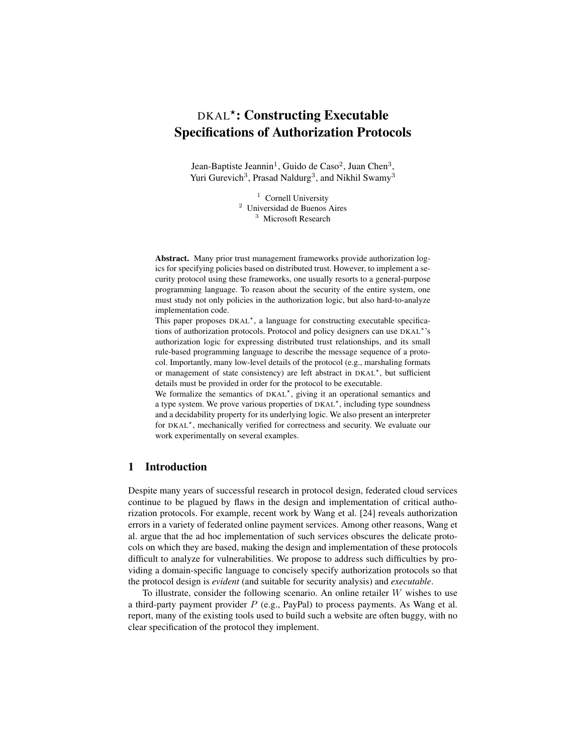# DKAL\*: Constructing Executable Specifications of Authorization Protocols

Jean-Baptiste Jeannin<sup>1</sup>, Guido de Caso<sup>2</sup>, Juan Chen<sup>3</sup>, Yuri Gurevich<sup>3</sup>, Prasad Naldurg<sup>3</sup>, and Nikhil Swamy<sup>3</sup>

> <sup>1</sup> Cornell University <sup>2</sup> Universidad de Buenos Aires <sup>3</sup> Microsoft Research

Abstract. Many prior trust management frameworks provide authorization logics for specifying policies based on distributed trust. However, to implement a security protocol using these frameworks, one usually resorts to a general-purpose programming language. To reason about the security of the entire system, one must study not only policies in the authorization logic, but also hard-to-analyze implementation code.

This paper proposes DKAL<sup>\*</sup>, a language for constructing executable specifications of authorization protocols. Protocol and policy designers can use DKAL<sup>\*</sup>'s authorization logic for expressing distributed trust relationships, and its small rule-based programming language to describe the message sequence of a protocol. Importantly, many low-level details of the protocol (e.g., marshaling formats or management of state consistency) are left abstract in DKAL<sup>\*</sup>, but sufficient details must be provided in order for the protocol to be executable.

We formalize the semantics of DKAL<sup>\*</sup>, giving it an operational semantics and a type system. We prove various properties of DKAL<sup>\*</sup>, including type soundness and a decidability property for its underlying logic. We also present an interpreter for DKAL<sup>\*</sup>, mechanically verified for correctness and security. We evaluate our work experimentally on several examples.

## 1 Introduction

Despite many years of successful research in protocol design, federated cloud services continue to be plagued by flaws in the design and implementation of critical authorization protocols. For example, recent work by Wang et al. [24] reveals authorization errors in a variety of federated online payment services. Among other reasons, Wang et al. argue that the ad hoc implementation of such services obscures the delicate protocols on which they are based, making the design and implementation of these protocols difficult to analyze for vulnerabilities. We propose to address such difficulties by providing a domain-specific language to concisely specify authorization protocols so that the protocol design is *evident* (and suitable for security analysis) and *executable*.

To illustrate, consider the following scenario. An online retailer W wishes to use a third-party payment provider  $P$  (e.g., PayPal) to process payments. As Wang et al. report, many of the existing tools used to build such a website are often buggy, with no clear specification of the protocol they implement.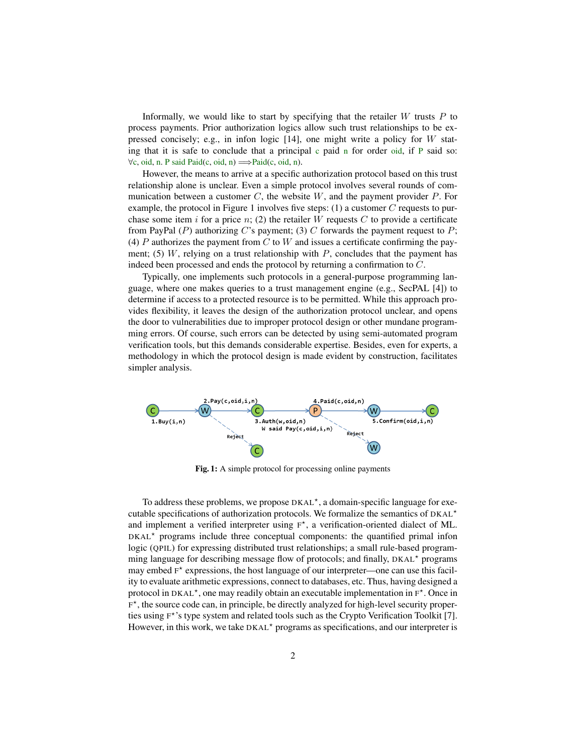Informally, we would like to start by specifying that the retailer  $W$  trusts  $P$  to process payments. Prior authorization logics allow such trust relationships to be expressed concisely; e.g., in infon logic [14], one might write a policy for W stating that it is safe to conclude that a principal c paid n for order oid, if  $P$  said so:  $∀c, oid, n. P said Paid(c, oid, n) \implies Paid(c, oid, n).$ 

However, the means to arrive at a specific authorization protocol based on this trust relationship alone is unclear. Even a simple protocol involves several rounds of communication between a customer  $C$ , the website  $W$ , and the payment provider  $P$ . For example, the protocol in Figure 1 involves five steps:  $(1)$  a customer C requests to purchase some item i for a price n; (2) the retailer W requests  $C$  to provide a certificate from PayPal (P) authorizing C's payment; (3) C forwards the payment request to P; (4) P authorizes the payment from C to W and issues a certificate confirming the payment; (5) W, relying on a trust relationship with  $P$ , concludes that the payment has indeed been processed and ends the protocol by returning a confirmation to C.

Typically, one implements such protocols in a general-purpose programming language, where one makes queries to a trust management engine (e.g., SecPAL [4]) to determine if access to a protected resource is to be permitted. While this approach provides flexibility, it leaves the design of the authorization protocol unclear, and opens the door to vulnerabilities due to improper protocol design or other mundane programming errors. Of course, such errors can be detected by using semi-automated program verification tools, but this demands considerable expertise. Besides, even for experts, a methodology in which the protocol design is made evident by construction, facilitates simpler analysis.



Fig. 1: A simple protocol for processing online payments

To address these problems, we propose DKAL<sup>\*</sup>, a domain-specific language for executable specifications of authorization protocols. We formalize the semantics of  $DKAL^*$ and implement a verified interpreter using  $F^*$ , a verification-oriented dialect of ML. DKAL? programs include three conceptual components: the quantified primal infon logic (QPIL) for expressing distributed trust relationships; a small rule-based programming language for describing message flow of protocols; and finally,  $DKAL^*$  programs may embed  $F^*$  expressions, the host language of our interpreter—one can use this facility to evaluate arithmetic expressions, connect to databases, etc. Thus, having designed a protocol in DKAL<sup>\*</sup>, one may readily obtain an executable implementation in F<sup>\*</sup>. Once in  $F^*$ , the source code can, in principle, be directly analyzed for high-level security properties using F ? 's type system and related tools such as the Crypto Verification Toolkit [7]. However, in this work, we take  $DKAL^*$  programs as specifications, and our interpreter is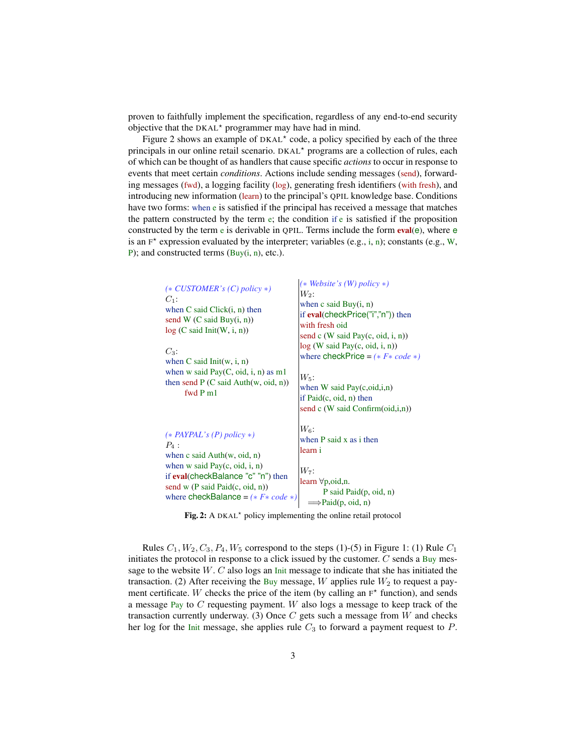proven to faithfully implement the specification, regardless of any end-to-end security objective that the  $DKAL^*$  programmer may have had in mind.

Figure 2 shows an example of  $DKAL^*$  code, a policy specified by each of the three principals in our online retail scenario. DKAL<sup>\*</sup> programs are a collection of rules, each of which can be thought of as handlers that cause specific *actions* to occur in response to events that meet certain *conditions*. Actions include sending messages (send), forwarding messages (fwd), a logging facility (log), generating fresh identifiers (with fresh), and introducing new information (learn) to the principal's QPIL knowledge base. Conditions have two forms: when e is satisfied if the principal has received a message that matches the pattern constructed by the term e; the condition if e is satisfied if the proposition constructed by the term  $e$  is derivable in QPIL. Terms include the form  $eval(e)$ , where  $e$ is an  $F^*$  expression evaluated by the interpreter; variables (e.g., i, n); constants (e.g., W, P); and constructed terms (Buy(i, n), etc.).

| (* CUSTOMER's $(C)$ policy *)<br>$C_1$ :<br>when $C$ said $Click(i, n)$ then<br>send W $(C$ said Buy $(i, n)$<br>log (C said Int(W, i, n))<br>$C_3$ :<br>when C said Init(w, i, n)<br>when w said Pay $(C, \text{oid}, i, n)$ as m1<br>then send $P(C \text{ said } \text{Auth}(w, \text{oid}, n))$<br>fwd P m1 | (* Website's (W) policy *)<br>$W_2$ :<br>when c said Buy $(i, n)$<br>if eval(checkPrice("i","n")) then<br>with fresh oid<br>send c (W said Pay(c, oid, i, n))<br>$log$ (W said Pay(c, oid, i, n))<br>where checkPrice = $(* F * code *)$<br>$W_5$ :<br>when W said $Pay(c,oid,i,n)$<br>if $Paid(c,oid, n)$ then<br>send c (W said Confirm( $oid,i,n$ )) |
|-----------------------------------------------------------------------------------------------------------------------------------------------------------------------------------------------------------------------------------------------------------------------------------------------------------------|---------------------------------------------------------------------------------------------------------------------------------------------------------------------------------------------------------------------------------------------------------------------------------------------------------------------------------------------------------|
| (* PAYPAL's (P) policy *)<br>$P_4$ :<br>when c said $\text{Auth}(w, \text{oid}, n)$<br>when w said Pay $(c, \text{oid}, i, n)$<br>if eval(checkBalance "c" "n") then<br>send w $(P \text{ said } \text{Paid}(c, \text{oid}, n))$<br>where checkBalance = $(* F * code *)$                                       | $W_{6}$ :<br>when P said x as i then<br>learn i<br>$W_7$ :<br>learn $\forall p, \text{oid}, n$ .<br>P said Paid $(p, \text{oid}, n)$<br>$\implies$ Paid(p, oid, n)                                                                                                                                                                                      |

Fig. 2: A DKAL<sup>\*</sup> policy implementing the online retail protocol

Rules  $C_1$ ,  $W_2$ ,  $C_3$ ,  $P_4$ ,  $W_5$  correspond to the steps (1)-(5) in Figure 1: (1) Rule  $C_1$ initiates the protocol in response to a click issued by the customer.  $C$  sends a Buy message to the website  $W. C$  also logs an Init message to indicate that she has initiated the transaction. (2) After receiving the Buy message, W applies rule  $W_2$  to request a payment certificate. W checks the price of the item (by calling an  $F^*$  function), and sends a message Pay to C requesting payment. W also logs a message to keep track of the transaction currently underway. (3) Once  $C$  gets such a message from  $W$  and checks her log for the Init message, she applies rule  $C_3$  to forward a payment request to  $P$ .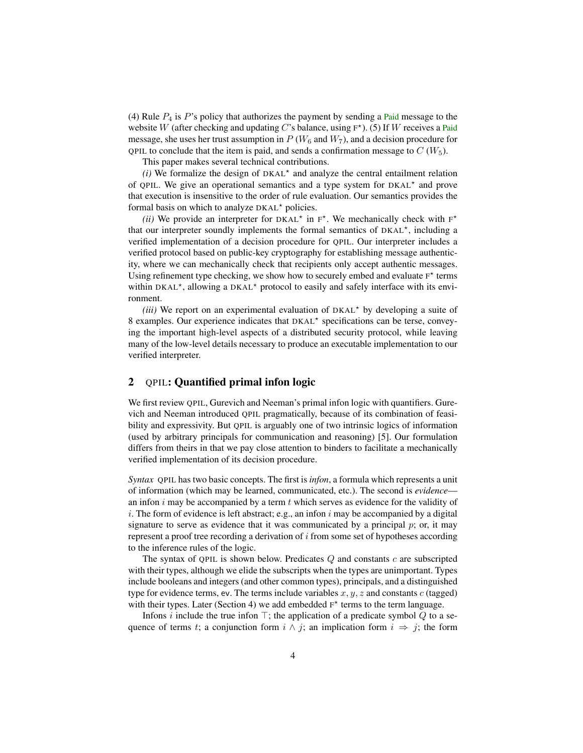(4) Rule  $P_4$  is P's policy that authorizes the payment by sending a Paid message to the website W (after checking and updating C's balance, using  $F^*$ ). (5) If W receives a Paid message, she uses her trust assumption in  $P(W_6 \text{ and } W_7)$ , and a decision procedure for QPIL to conclude that the item is paid, and sends a confirmation message to  $C(W_5)$ .

This paper makes several technical contributions.

 $(i)$  We formalize the design of  $DKAL<sup>*</sup>$  and analyze the central entailment relation of QPIL. We give an operational semantics and a type system for DKAL<sup>\*</sup> and prove that execution is insensitive to the order of rule evaluation. Our semantics provides the formal basis on which to analyze  $DKAL^*$  policies.

(*ii*) We provide an interpreter for DKAL<sup>\*</sup> in  $F^*$ . We mechanically check with  $F^*$ that our interpreter soundly implements the formal semantics of DKAL<sup>\*</sup>, including a verified implementation of a decision procedure for QPIL. Our interpreter includes a verified protocol based on public-key cryptography for establishing message authenticity, where we can mechanically check that recipients only accept authentic messages. Using refinement type checking, we show how to securely embed and evaluate  $F^*$  terms within DKAL<sup>\*</sup>, allowing a DKAL<sup>\*</sup> protocol to easily and safely interface with its environment.

*(iii)* We report on an experimental evaluation of DKAL<sup>\*</sup> by developing a suite of 8 examples. Our experience indicates that DKAL<sup>\*</sup> specifications can be terse, conveying the important high-level aspects of a distributed security protocol, while leaving many of the low-level details necessary to produce an executable implementation to our verified interpreter.

## 2 QPIL: Quantified primal infon logic

We first review QPIL, Gurevich and Neeman's primal infon logic with quantifiers. Gurevich and Neeman introduced QPIL pragmatically, because of its combination of feasibility and expressivity. But QPIL is arguably one of two intrinsic logics of information (used by arbitrary principals for communication and reasoning) [5]. Our formulation differs from theirs in that we pay close attention to binders to facilitate a mechanically verified implementation of its decision procedure.

*Syntax* QPIL has two basic concepts. The first is *infon*, a formula which represents a unit of information (which may be learned, communicated, etc.). The second is *evidence*an infon  $i$  may be accompanied by a term  $t$  which serves as evidence for the validity of i. The form of evidence is left abstract; e.g., an infon i may be accompanied by a digital signature to serve as evidence that it was communicated by a principal  $p$ ; or, it may represent a proof tree recording a derivation of i from some set of hypotheses according to the inference rules of the logic.

The syntax of QPIL is shown below. Predicates  $Q$  and constants  $c$  are subscripted with their types, although we elide the subscripts when the types are unimportant. Types include booleans and integers (and other common types), principals, and a distinguished type for evidence terms, ev. The terms include variables  $x, y, z$  and constants  $c$  (tagged) with their types. Later (Section 4) we add embedded  $F^*$  terms to the term language.

Infons i include the true infon  $\top$ ; the application of a predicate symbol Q to a sequence of terms t; a conjunction form  $i \wedge j$ ; an implication form  $i \Rightarrow j$ ; the form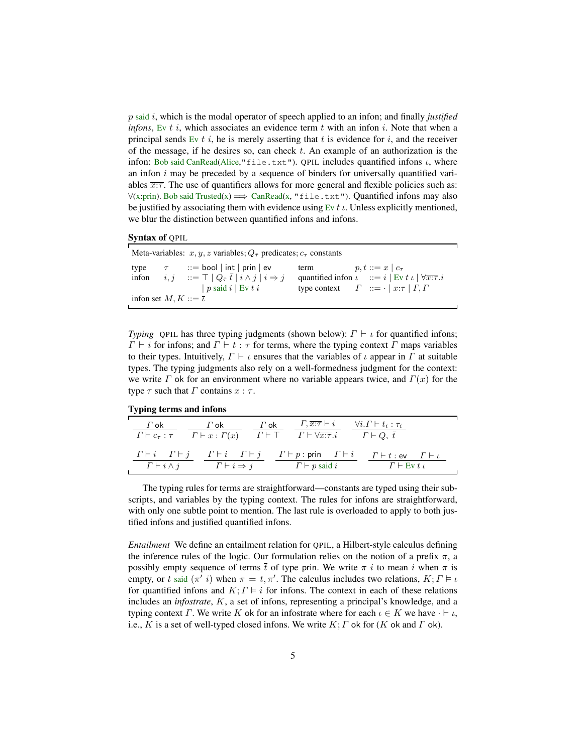p said i, which is the modal operator of speech applied to an infon; and finally *justified infons*, Ev t i, which associates an evidence term t with an infon i. Note that when a principal sends Ev t i, he is merely asserting that t is evidence for i, and the receiver of the message, if he desires so, can check  $t$ . An example of an authorization is the infon: Bob said CanRead(Alice,"file.txt"). QPIL includes quantified infons  $\iota$ , where an infon  $i$  may be preceded by a sequence of binders for universally quantified variables  $\overline{x:\tau}$ . The use of quantifiers allows for more general and flexible policies such as:  $\forall$ (x:prin). Bob said Trusted(x)  $\Longrightarrow$  CanRead(x, "file.txt"). Quantified infons may also be justified by associating them with evidence using Ev t  $\iota$ . Unless explicitly mentioned, we blur the distinction between quantified infons and infons.

#### Syntax of OPIL

```
Meta-variables: x, y, z variables; Q_{\bar{\tau}} predicates; c_{\tau} constants
type \tau ::= bool | int | prin | ev term p, t ::= x \mid c_{\tau}infon i, j ::= \top | Q_{\bar{\tau}} \bar{t} | i \wedge j | i \Rightarrow j quantified infon \iota ::= i | Evt \iota | \forall \bar{x} : \bar{\tau} \cdot i| p said i | Ev t i type context \Gamma ::= \cdot | x:\tau | \Gamma, \Gammainfon set M, K ::= \overline{\iota}
```
*Typing* QPIL has three typing judgments (shown below):  $\Gamma \vdash \iota$  for quantified infons;  $\Gamma \vdash i$  for infons; and  $\Gamma \vdash t : \tau$  for terms, where the typing context  $\Gamma$  maps variables to their types. Intuitively,  $\Gamma \vdash \iota$  ensures that the variables of  $\iota$  appear in  $\Gamma$  at suitable types. The typing judgments also rely on a well-formedness judgment for the context: we write Γ ok for an environment where no variable appears twice, and  $\Gamma(x)$  for the type  $\tau$  such that  $\Gamma$  contains  $x : \tau$ .

#### Typing terms and infons

| $\Gamma$ ok                                                           | $\Gamma$ ok<br>$\Gamma \vdash c_{\tau} : \tau$ $\Gamma \vdash x : \Gamma(x)$ | $\Gamma$ ok                                                                                         | $\Gamma, \overline{x:\tau} \vdash i$<br>$\Gamma \vdash \top$ $\Gamma \vdash \forall \overline{x:\tau}.i$ | $\forall i.\Gamma\vdash t_i:\tau_i$<br>$\varGamma \vdash Q_{\bar{\tau}}\,\overline{t}$    |  |
|-----------------------------------------------------------------------|------------------------------------------------------------------------------|-----------------------------------------------------------------------------------------------------|----------------------------------------------------------------------------------------------------------|-------------------------------------------------------------------------------------------|--|
| $\Gamma \vdash i \quad \Gamma \vdash j$<br>$\Gamma \vdash i \wedge i$ | $\Gamma \vdash i \Rightarrow j$                                              | $\Gamma \vdash i \quad \Gamma \vdash j \quad \Gamma \vdash p : \textsf{prin} \quad \Gamma \vdash i$ | $\Gamma \vdash p$ said i                                                                                 | $\Gamma \vdash t : \mathsf{ev} \quad \Gamma \vdash \iota$<br>$\Gamma \vdash$ Ev t $\iota$ |  |

The typing rules for terms are straightforward—constants are typed using their subscripts, and variables by the typing context. The rules for infons are straightforward, with only one subtle point to mention. The last rule is overloaded to apply to both justified infons and justified quantified infons.

*Entailment* We define an entailment relation for QPIL, a Hilbert-style calculus defining the inference rules of the logic. Our formulation relies on the notion of a prefix  $\pi$ , a possibly empty sequence of terms  $\bar{t}$  of type prin. We write  $\pi i$  to mean i when  $\pi$  is empty, or t said  $(\pi' i)$  when  $\pi = t, \pi'$ . The calculus includes two relations,  $K; \Gamma \models \iota$ for quantified infons and  $K; \Gamma \models i$  for infons. The context in each of these relations includes an *infostrate*, K, a set of infons, representing a principal's knowledge, and a typing context Γ. We write K ok for an infostrate where for each  $\iota \in K$  we have  $\cdot \vdash \iota$ , i.e., K is a set of well-typed closed infons. We write  $K$ ;  $\Gamma$  ok for (K ok and  $\Gamma$  ok).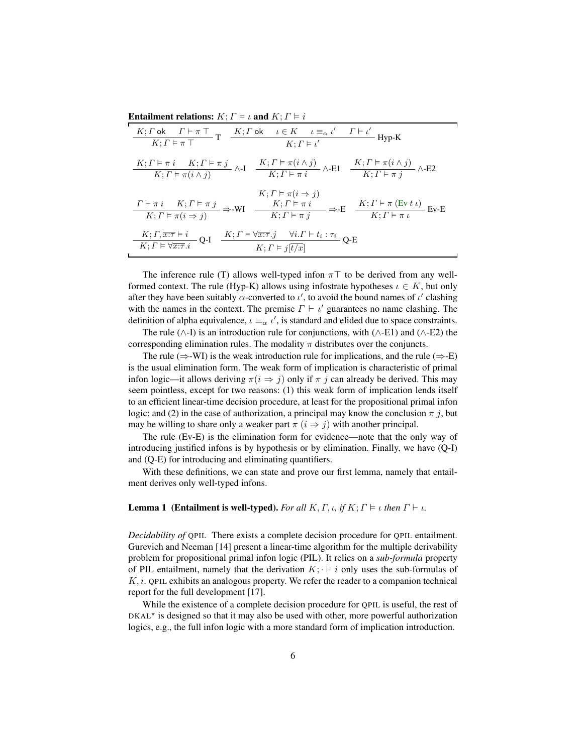Entailment relations:  $K; \Gamma \models \iota$  and  $K; \Gamma \models i$ 

| $\frac{K;\varGamma \text{ ok}\hspace{0.3cm} \varGamma \vdash \pi \top}{K;\varGamma \vDash \pi \top}\hspace{1mm} \text{T} \quad \frac{K;\varGamma \text{ ok}\hspace{0.3cm} \iota \in K \hspace{0.3cm} \iota \equiv_{\alpha} \iota' \hspace{0.3cm} \varGamma \vdash \iota' }{K;\varGamma \vDash \iota'} \text{Hyp-K}$                                                                                  |
|------------------------------------------------------------------------------------------------------------------------------------------------------------------------------------------------------------------------------------------------------------------------------------------------------------------------------------------------------------------------------------------------------|
| $\frac{K; \Gamma \vDash \pi \ i \qquad K; \Gamma \vDash \pi \ j}{K; \Gamma \vDash \pi (i \wedge j)} \wedge \text{-I} \quad \frac{K; \Gamma \vDash \pi (i \wedge j)}{K; \Gamma \vDash \pi \ i} \wedge \text{-E1} \quad \frac{K; \Gamma \vDash \pi (i \wedge j)}{K; \Gamma \vDash \pi \ j} \wedge \text{-E2}$                                                                                          |
| $K; \Gamma \models \pi (i \Rightarrow j)$<br>$\frac{\Gamma\vdash \pi i\quad K;\Gamma\vdash \pi j}{K;\Gamma\vdash \pi(i\Rightarrow j)}\Rightarrow W\mathrm{I}\quad\frac{K;\Gamma\mathrel{\dot{\vdash}}\pi i}{K;\Gamma\mathrel{\dot{\vdash}}\pi j}\Rightarrow E\quad\frac{K;\Gamma\mathrel{\dot{\vdash}}\pi\;(\mathrm{Ev}\,t\,\iota)}{K;\Gamma\mathrel{\dot{\vdash}}\pi\,\iota}\;\mathrm{Ev}\text{-E}$ |
| $\frac{K; \Gamma, \overline{x:\tau} \models i}{K; \Gamma \models \forall \overline{x:\tau}.i} \text{ Q-I} \quad \frac{K; \Gamma \models \forall \overline{x:\tau}.j \quad \forall i.\Gamma \vdash t_i : \tau_i}{K; \Gamma \models j[\overline{t/x}]} \text{ Q-E}$                                                                                                                                    |

The inference rule (T) allows well-typed infon  $\pi$ <sup>T</sup> to be derived from any wellformed context. The rule (Hyp-K) allows using infostrate hypotheses  $\iota \in K$ , but only after they have been suitably  $\alpha$ -converted to  $\iota'$ , to avoid the bound names of  $\iota'$  clashing with the names in the context. The premise  $\Gamma \vdash \iota'$  guarantees no name clashing. The definition of alpha equivalence,  $\iota \equiv_{\alpha} \iota'$ , is standard and elided due to space constraints.

The rule ( $\wedge$ -I) is an introduction rule for conjunctions, with ( $\wedge$ -E1) and ( $\wedge$ -E2) the corresponding elimination rules. The modality  $\pi$  distributes over the conjuncts.

The rule ( $\Rightarrow$ -WI) is the weak introduction rule for implications, and the rule ( $\Rightarrow$ -E) is the usual elimination form. The weak form of implication is characteristic of primal infon logic—it allows deriving  $\pi(i \Rightarrow j)$  only if  $\pi j$  can already be derived. This may seem pointless, except for two reasons: (1) this weak form of implication lends itself to an efficient linear-time decision procedure, at least for the propositional primal infon logic; and (2) in the case of authorization, a principal may know the conclusion  $\pi j$ , but may be willing to share only a weaker part  $\pi(i \Rightarrow j)$  with another principal.

The rule (Ev-E) is the elimination form for evidence—note that the only way of introducing justified infons is by hypothesis or by elimination. Finally, we have (Q-I) and (Q-E) for introducing and eliminating quantifiers.

With these definitions, we can state and prove our first lemma, namely that entailment derives only well-typed infons.

#### **Lemma 1** (Entailment is well-typed). *For all* K,  $\Gamma$ ,  $\iota$ , if K;  $\Gamma \models \iota$  then  $\Gamma \models \iota$ .

*Decidability of* QPIL There exists a complete decision procedure for QPIL entailment. Gurevich and Neeman [14] present a linear-time algorithm for the multiple derivability problem for propositional primal infon logic (PIL). It relies on a *sub-formula* property of PIL entailment, namely that the derivation  $K$ ;  $\vdash i$  only uses the sub-formulas of  $K, i$ . QPIL exhibits an analogous property. We refer the reader to a companion technical report for the full development [17].

While the existence of a complete decision procedure for QPIL is useful, the rest of DKAL<sup>\*</sup> is designed so that it may also be used with other, more powerful authorization logics, e.g., the full infon logic with a more standard form of implication introduction.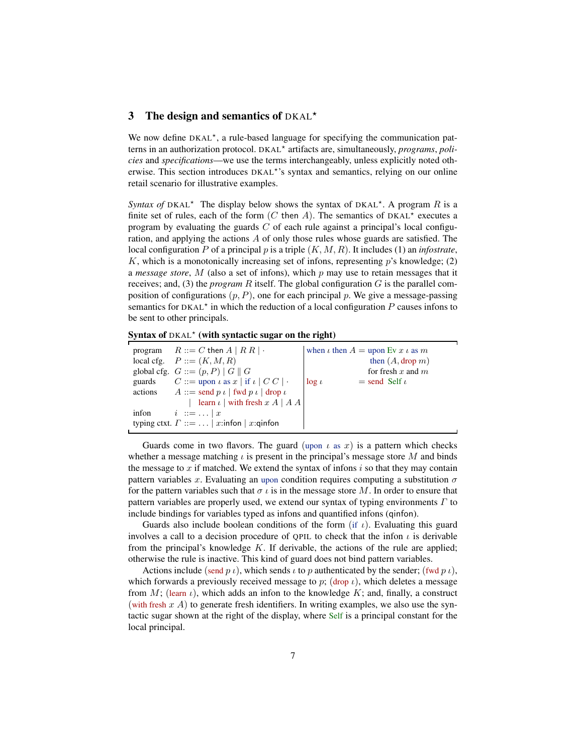## 3 The design and semantics of  $DKAL^*$

We now define DKAL<sup>\*</sup>, a rule-based language for specifying the communication patterns in an authorization protocol. DKAL? artifacts are, simultaneously, *programs*, *policies* and *specifications*—we use the terms interchangeably, unless explicitly noted otherwise. This section introduces DKAL<sup>\*</sup>'s syntax and semantics, relying on our online retail scenario for illustrative examples.

*Syntax of* DKAL<sup>\*</sup> The display below shows the syntax of DKAL<sup>\*</sup>. A program R is a finite set of rules, each of the form (C then A). The semantics of DKAL<sup>\*</sup> executes a program by evaluating the guards  $C$  of each rule against a principal's local configuration, and applying the actions A of only those rules whose guards are satisfied. The local configuration  $P$  of a principal  $p$  is a triple  $(K, M, R)$ . It includes (1) an *infostrate*, K, which is a monotonically increasing set of infons, representing  $p$ 's knowledge; (2) a *message store*, M (also a set of infons), which p may use to retain messages that it receives; and, (3) the *program* R itself. The global configuration  $G$  is the parallel composition of configurations  $(p, P)$ , one for each principal p. We give a message-passing semantics for DKAL<sup>\*</sup> in which the reduction of a local configuration  $P$  causes infons to be sent to other principals.

Syntax of  $DKAL<sup>*</sup>$  (with syntactic sugar on the right)

| program $R ::= C$ then $A   R R   \cdot$                                                  | when $\iota$ then $A =$ upon Ev $x \iota$ as m |
|-------------------------------------------------------------------------------------------|------------------------------------------------|
| local cfg. $P ::= (K, M, R)$                                                              | then $(A, \text{drop } m)$                     |
| global cfg. $G ::= (p, P)   G   G$                                                        | for fresh x and $m$                            |
| guards $C ::= \text{upon } \iota \text{ as } x \mid \text{if } \iota \mid C C \mid \cdot$ | $=$ send Self $\iota$<br>$\log t$              |
| actions $A ::= \text{send } p \iota   \text{fwd } p \iota   \text{drop } \iota$           |                                                |
| learn $\iota$   with fresh $x A$   $A A$                                                  |                                                |
| infon $i ::=    x$                                                                        |                                                |
| typing ctxt. $\Gamma ::= \dots   x:$ infon $  x:$ qinfon                                  |                                                |

Guards come in two flavors. The guard (upon  $\iota$  as  $x$ ) is a pattern which checks whether a message matching  $\iota$  is present in the principal's message store M and binds the message to x if matched. We extend the syntax of infons  $i$  so that they may contain pattern variables x. Evaluating an upon condition requires computing a substitution  $\sigma$ for the pattern variables such that  $\sigma \iota$  is in the message store M. In order to ensure that pattern variables are properly used, we extend our syntax of typing environments  $\Gamma$  to include bindings for variables typed as infons and quantified infons (qinfon).

Guards also include boolean conditions of the form (if  $\iota$ ). Evaluating this guard involves a call to a decision procedure of QPIL to check that the infon  $\iota$  is derivable from the principal's knowledge  $K$ . If derivable, the actions of the rule are applied; otherwise the rule is inactive. This kind of guard does not bind pattern variables.

Actions include (send p ι), which sends ι to p authenticated by the sender; (fwd p ι), which forwards a previously received message to p;  $(drop \iota)$ , which deletes a message from  $M$ ; (learn  $\iota$ ), which adds an infon to the knowledge K; and, finally, a construct (with fresh  $x A$ ) to generate fresh identifiers. In writing examples, we also use the syntactic sugar shown at the right of the display, where Self is a principal constant for the local principal.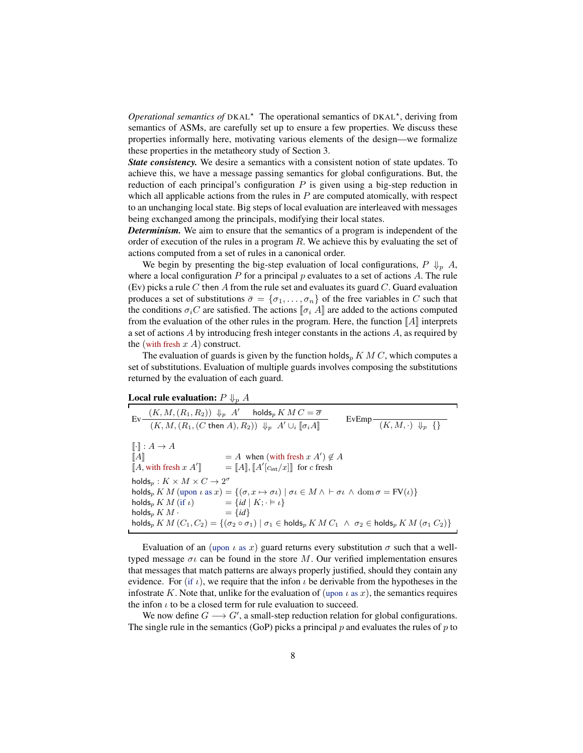*Operational semantics of* DKAL? The operational semantics of DKAL? , deriving from semantics of ASMs, are carefully set up to ensure a few properties. We discuss these properties informally here, motivating various elements of the design—we formalize these properties in the metatheory study of Section 3.

*State consistency.* We desire a semantics with a consistent notion of state updates. To achieve this, we have a message passing semantics for global configurations. But, the reduction of each principal's configuration  $P$  is given using a big-step reduction in which all applicable actions from the rules in  $P$  are computed atomically, with respect to an unchanging local state. Big steps of local evaluation are interleaved with messages being exchanged among the principals, modifying their local states.

*Determinism.* We aim to ensure that the semantics of a program is independent of the order of execution of the rules in a program  $R$ . We achieve this by evaluating the set of actions computed from a set of rules in a canonical order.

We begin by presenting the big-step evaluation of local configurations,  $P \Downarrow_n A$ , where a local configuration P for a principal p evaluates to a set of actions A. The rule (Ev) picks a rule  $C$  then  $A$  from the rule set and evaluates its guard  $C$ . Guard evaluation produces a set of substitutions  $\bar{\sigma} = {\sigma_1, \ldots, \sigma_n}$  of the free variables in C such that the conditions  $\sigma_i$ C are satisfied. The actions  $[\sigma_i A]$  are added to the actions computed from the evaluation of the other rules in the program. Here, the function  $\llbracket A \rrbracket$  interprets a set of actions A by introducing fresh integer constants in the actions A, as required by the (with fresh  $x A$ ) construct.

The evaluation of guards is given by the function holds<sub>p</sub> K M C, which computes a set of substitutions. Evaluation of multiple guards involves composing the substitutions returned by the evaluation of each guard.

## Local rule evaluation:  $P \Downarrow_{p} A$

 $\text{Ev}\left(K, M, (R_1, R_2)\right) \Downarrow_p A'$  holds<sub>p</sub>  $K M C = \overline{\sigma}$  $(K, M, (R_1, (C \text{ then } A), R_2)) \Downarrow_p A' \cup_i [\![\sigma_i A]\!]$ EvEmp  $\overline{(K, M, \cdot) \Downarrow_p \{\}}$  $\lbrack\! \lbrack\cdot\rbrack\! \rbrack: A\rightarrow A$  $\llbracket A \rrbracket$  = A when (with fresh  $x A'$ )  $\notin A$  $[A, with fresh x A']$  $\Box$  =  $[A], [A'[c_{\text{int}}/x]]$  for c fresh holds $_p: K \times M \times C \rightarrow 2^{\sigma}$ holds<sub>p</sub> K M (upon *ι* as  $x$ ) = { $(\sigma, x \mapsto \sigma \iota) | \sigma \iota \in M \wedge \vdash \sigma \iota \wedge \text{dom } \sigma = \text{FV}(\iota)$ } holds<sub>p</sub> K M (if  $\iota$ ) = {*id* | K; ·  $\models \iota$ } holds<sub>p</sub>  $K M \cdot = \{id\}$  $\mathsf{holds}_p\:K\:M\:(C_1,C_2)=\{(\sigma_2\circ\sigma_1)\mid \sigma_1\in \mathsf{holds}_p\:K\:M\:C_1\ \wedge\ \sigma_2\in \mathsf{holds}_p\:K\:M\:(\sigma_1\:C_2)\}$ 

Evaluation of an (upon  $\iota$  as  $x$ ) guard returns every substitution  $\sigma$  such that a welltyped message  $\sigma\iota$  can be found in the store M. Our verified implementation ensures that messages that match patterns are always properly justified, should they contain any evidence. For (if  $\iota$ ), we require that the infon  $\iota$  be derivable from the hypotheses in the infostrate K. Note that, unlike for the evaluation of (upon  $\iota$  as x), the semantics requires the infon  $\iota$  to be a closed term for rule evaluation to succeed.

We now define  $G \longrightarrow G'$ , a small-step reduction relation for global configurations. The single rule in the semantics (GoP) picks a principal  $p$  and evaluates the rules of  $p$  to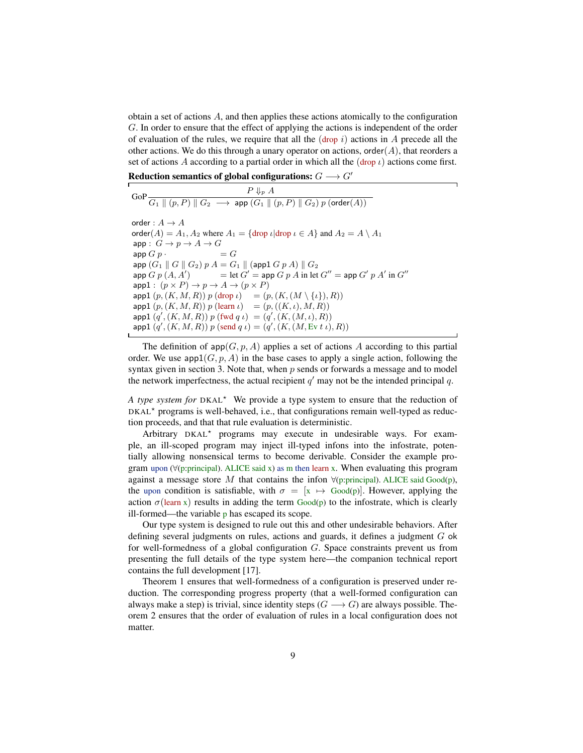obtain a set of actions A, and then applies these actions atomically to the configuration G. In order to ensure that the effect of applying the actions is independent of the order of evaluation of the rules, we require that all the  $(drop i)$  actions in A precede all the other actions. We do this through a unary operator on actions, order( $A$ ), that reorders a set of actions A according to a partial order in which all the  $(drop \iota)$  actions come first.

Reduction semantics of global configurations:  $G\longrightarrow G'$ 

| $P \Downarrow_n A$<br>$GoP-$<br>$G_1 \parallel (p, P) \parallel G_2 \longrightarrow$ app $(G_1 \parallel (p, P) \parallel G_2) p$ (order(A)) |
|----------------------------------------------------------------------------------------------------------------------------------------------|
| order : $A \rightarrow A$                                                                                                                    |
| order(A) = $A_1$ , $A_2$ where $A_1 = \{\text{drop } \iota   \text{drop } \iota \in A\}$ and $A_2 = A \setminus A_1$                         |
| $app: G \to p \to A \to G$                                                                                                                   |
| app $G p \cdot$<br>$= G$                                                                                                                     |
| $\textsf{app}(G_1 \parallel G \parallel G_2) \ p \ A = G_1 \parallel (\textsf{app1} \ G \ p \ A) \parallel G_2$                              |
| $\text{app } G p (A, A')$ $= \text{let } G' = \text{app } G p A \text{ in let } G'' = \text{app } G' p A' \text{ in } G''$                   |
| $app1: (p \times P) \rightarrow p \rightarrow A \rightarrow (p \times P)$                                                                    |
| $\textsf{app1}(p, (K, M, R)) p (\text{drop } \iota) = (p, (K, (M \setminus \{\iota\}), R))$                                                  |
| $\text{app1}(p, (K, M, R)) p \text{ (learn } \iota) = (p, ((K, \iota), M, R))$                                                               |
| $\text{app1}(q', (K, M, R)) p \text{ (fwd } q \iota) = (q', (K, (M, \iota), R))$                                                             |
| $\text{app1}(q', (K, M, R)) p \text{ (send } q \iota) = (q', (K, (M, Ev \tota \iota), R))$                                                   |

The definition of  $app(G, p, A)$  applies a set of actions A according to this partial order. We use  $app1(G, p, A)$  in the base cases to apply a single action, following the syntax given in section 3. Note that, when  $p$  sends or forwards a message and to model the network imperfectness, the actual recipient  $q'$  may not be the intended principal  $q$ .

*A type system for* DKAL? We provide a type system to ensure that the reduction of  $DKAL<sup>*</sup>$  programs is well-behaved, i.e., that configurations remain well-typed as reduction proceeds, and that that rule evaluation is deterministic.

Arbitrary DKAL? programs may execute in undesirable ways. For example, an ill-scoped program may inject ill-typed infons into the infostrate, potentially allowing nonsensical terms to become derivable. Consider the example program upon  $(\forall$ (p:principal). ALICE said x) as m then learn x. When evaluating this program against a message store M that contains the infon  $\forall$ (p:principal). ALICE said Good(p), the upon condition is satisfiable, with  $\sigma = [x \mapsto \text{Good}(p)]$ . However, applying the action  $\sigma$ (learn x) results in adding the term  $Good(p)$  to the infostrate, which is clearly ill-formed—the variable p has escaped its scope.

Our type system is designed to rule out this and other undesirable behaviors. After defining several judgments on rules, actions and guards, it defines a judgment G ok for well-formedness of a global configuration G. Space constraints prevent us from presenting the full details of the type system here—the companion technical report contains the full development [17].

Theorem 1 ensures that well-formedness of a configuration is preserved under reduction. The corresponding progress property (that a well-formed configuration can always make a step) is trivial, since identity steps  $(G \rightarrow G)$  are always possible. Theorem 2 ensures that the order of evaluation of rules in a local configuration does not matter.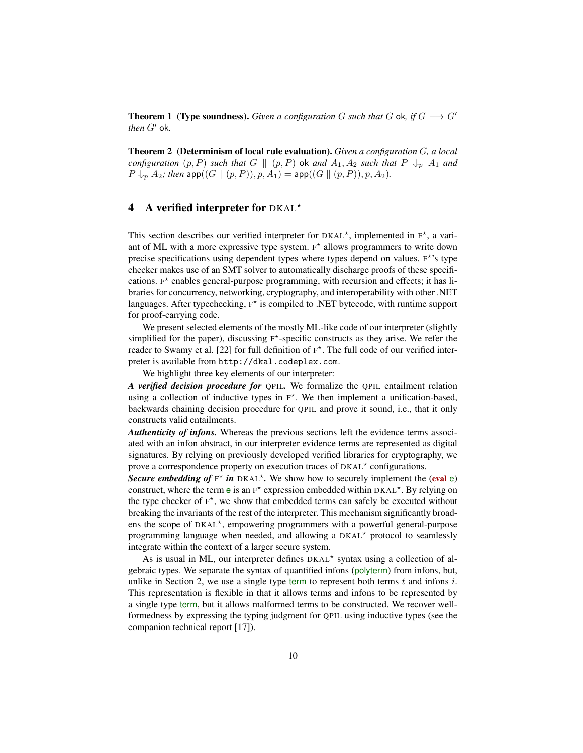**Theorem 1** (Type soundness). *Given a configuration* G such that G ok, if  $G \rightarrow G'$ *then*  $G'$  ok.

Theorem 2 (Determinism of local rule evaluation). *Given a configuration* G*, a local configuration*  $(p, P)$  *such that*  $G \parallel (p, P)$  *ok and*  $A_1, A_2$  *such that*  $P \Downarrow_p A_1$  *and*  $P \Downarrow_{p} A_2$ ; then  $\textsf{app}((G || (p, P)), p, A_1) = \textsf{app}((G || (p, P)), p, A_2)$ .

#### 4 A verified interpreter for  $DKAL^*$

This section describes our verified interpreter for  $DKAL^*$ , implemented in  $F^*$ , a variant of ML with a more expressive type system.  $F^*$  allows programmers to write down precise specifications using dependent types where types depend on values. F\*'s type checker makes use of an SMT solver to automatically discharge proofs of these specifications. F<sup>\*</sup> enables general-purpose programming, with recursion and effects; it has libraries for concurrency, networking, cryptography, and interoperability with other .NET languages. After typechecking,  $F^*$  is compiled to .NET bytecode, with runtime support for proof-carrying code.

We present selected elements of the mostly ML-like code of our interpreter (slightly simplified for the paper), discussing  $F^*$ -specific constructs as they arise. We refer the reader to Swamy et al. [22] for full definition of  $F^*$ . The full code of our verified interpreter is available from http://dkal.codeplex.com.

We highlight three key elements of our interpreter:

*A verified decision procedure for* QPIL*.* We formalize the QPIL entailment relation using a collection of inductive types in  $F^*$ . We then implement a unification-based, backwards chaining decision procedure for QPIL and prove it sound, i.e., that it only constructs valid entailments.

*Authenticity of infons.* Whereas the previous sections left the evidence terms associated with an infon abstract, in our interpreter evidence terms are represented as digital signatures. By relying on previously developed verified libraries for cryptography, we prove a correspondence property on execution traces of  $DKAL<sup>*</sup>$  configurations.

Secure embedding of  $F^*$  in DKAL<sup>\*</sup>. We show how to securely implement the (eval e) construct, where the term  $e$  is an  $F^*$  expression embedded within DKAL<sup>\*</sup>. By relying on the type checker of  $F^*$ , we show that embedded terms can safely be executed without breaking the invariants of the rest of the interpreter. This mechanism significantly broadens the scope of DKAL<sup>\*</sup>, empowering programmers with a powerful general-purpose programming language when needed, and allowing a  $DKAL^*$  protocol to seamlessly integrate within the context of a larger secure system.

As is usual in ML, our interpreter defines  $DKAL^*$  syntax using a collection of algebraic types. We separate the syntax of quantified infons (polyterm) from infons, but, unlike in Section 2, we use a single type term to represent both terms  $t$  and infons  $i$ . This representation is flexible in that it allows terms and infons to be represented by a single type term, but it allows malformed terms to be constructed. We recover wellformedness by expressing the typing judgment for QPIL using inductive types (see the companion technical report [17]).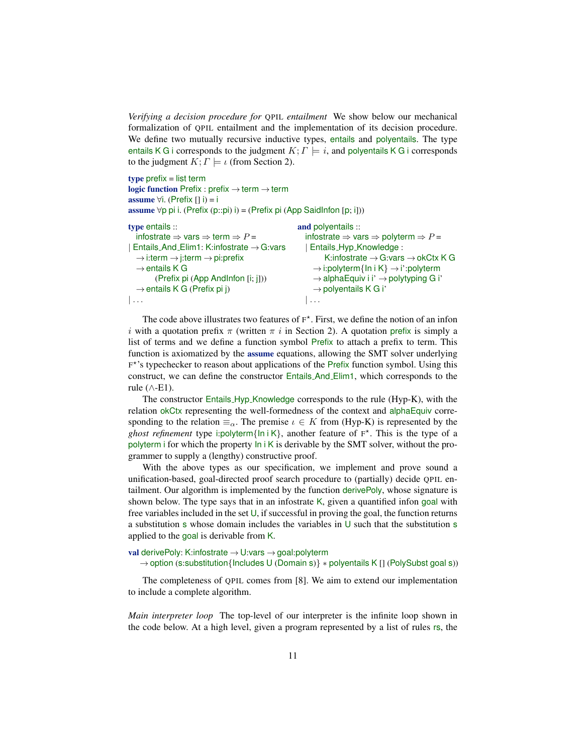*Verifying a decision procedure for* QPIL *entailment* We show below our mechanical formalization of QPIL entailment and the implementation of its decision procedure. We define two mutually recursive inductive types, entails and polyentails. The type entails K G i corresponds to the judgment  $K; \Gamma \models i$ , and polyentails K G i corresponds to the judgment  $K; \Gamma \models \iota$  (from Section 2).

```
type prefix = list term
logic function Prefix : prefix → term → term
assume \forall i. (Prefix [] i) = i
assume ∀p pi i. (Prefix (p::pi) i) = (Prefix pi (App SaidInfon [p; i]))
type entails ::
  infostrate ⇒ vars ⇒ term ⇒ P =
| Entails And Elim1: K:infostrate → G:vars
  \rightarrow i:term \rightarrow j:term \rightarrow pi:prefix
  \rightarrow entails K G
         (Prefix pi (App AndInfon [i; j]))
  \rightarrow entails K G (Prefix pi j)
\vert \ldotsand polyentails ::
                                                            infostrate ⇒ vars ⇒ polyterm ⇒ P =
                                                           | Entails_Hyp_Knowledge :
                                                                   K:infostrate \rightarrow G:vars \rightarrow okCtx K G
                                                               \rightarrow i:polyterm{ln i K} \rightarrow i':polyterm
                                                               \rightarrow alphaEquiv i i' \rightarrow polytyping G i'
                                                               \rightarrow polyentails K G i'
                                                            \| \ldots
```
The code above illustrates two features of  $F^*$ . First, we define the notion of an infon i with a quotation prefix  $\pi$  (written  $\pi$  i in Section 2). A quotation prefix is simply a list of terms and we define a function symbol Prefix to attach a prefix to term. This function is axiomatized by the assume equations, allowing the SMT solver underlying F<sup>\*</sup>'s typechecker to reason about applications of the Prefix function symbol. Using this construct, we can define the constructor Entails And Elim1, which corresponds to the rule  $(\wedge$ -E1).

The constructor Entails Hyp Knowledge corresponds to the rule (Hyp-K), with the relation okCtx representing the well-formedness of the context and alphaEquiv corresponding to the relation  $\equiv_{\alpha}$ . The premise  $\iota \in K$  from (Hyp-K) is represented by the ghost refinement type i:polyterm{ln i K}, another feature of  $F^*$ . This is the type of a polyterm i for which the property In i K is derivable by the SMT solver, without the programmer to supply a (lengthy) constructive proof.

With the above types as our specification, we implement and prove sound a unification-based, goal-directed proof search procedure to (partially) decide QPIL entailment. Our algorithm is implemented by the function derivePoly, whose signature is shown below. The type says that in an infostrate  $K$ , given a quantified infon goal with free variables included in the set  $\bigcup$ , if successful in proving the goal, the function returns a substitution s whose domain includes the variables in U such that the substitution s applied to the goal is derivable from K.

```
val derivePoly: K:infostrate \rightarrow U:vars \rightarrow goal:polyterm
```
→ option (s:substitution{Includes U (Domain s)} ∗ polyentails K [] (PolySubst goal s))

The completeness of QPIL comes from [8]. We aim to extend our implementation to include a complete algorithm.

*Main interpreter loop* The top-level of our interpreter is the infinite loop shown in the code below. At a high level, given a program represented by a list of rules rs, the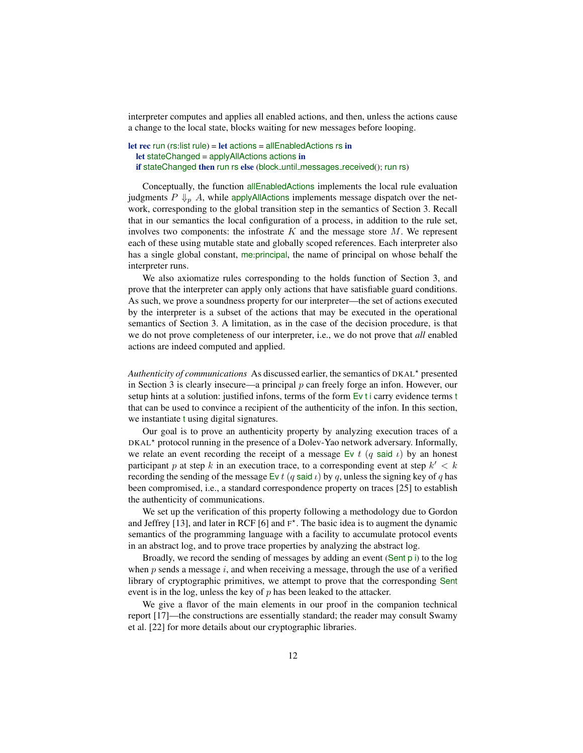interpreter computes and applies all enabled actions, and then, unless the actions cause a change to the local state, blocks waiting for new messages before looping.

```
let rec run (rs:list rule) = let actions = allEnabledActions rs in
  let stateChanged = applyAllActions actions in
  if stateChanged then run rs else (block_until_messages_received(); run rs)
```
Conceptually, the function allEnabledActions implements the local rule evaluation judgments  $P \Downarrow_p A$ , while applyAllActions implements message dispatch over the network, corresponding to the global transition step in the semantics of Section 3. Recall that in our semantics the local configuration of a process, in addition to the rule set, involves two components: the infostrate  $K$  and the message store  $M$ . We represent each of these using mutable state and globally scoped references. Each interpreter also has a single global constant, me:principal, the name of principal on whose behalf the interpreter runs.

We also axiomatize rules corresponding to the holds function of Section 3, and prove that the interpreter can apply only actions that have satisfiable guard conditions. As such, we prove a soundness property for our interpreter—the set of actions executed by the interpreter is a subset of the actions that may be executed in the operational semantics of Section 3. A limitation, as in the case of the decision procedure, is that we do not prove completeness of our interpreter, i.e., we do not prove that *all* enabled actions are indeed computed and applied.

*Authenticity of communications* As discussed earlier, the semantics of DKAL? presented in Section 3 is clearly insecure—a principal  $p$  can freely forge an infon. However, our setup hints at a solution: justified infons, terms of the form  $Evt$  i carry evidence terms t that can be used to convince a recipient of the authenticity of the infon. In this section, we instantiate t using digital signatures.

Our goal is to prove an authenticity property by analyzing execution traces of a DKAL<sup>\*</sup> protocol running in the presence of a Dolev-Yao network adversary. Informally, we relate an event recording the receipt of a message Ev t  $(q \text{ said } \iota)$  by an honest participant p at step k in an execution trace, to a corresponding event at step  $k' < k$ recording the sending of the message Ev t (q said  $\iota$ ) by q, unless the signing key of q has been compromised, i.e., a standard correspondence property on traces [25] to establish the authenticity of communications.

We set up the verification of this property following a methodology due to Gordon and Jeffrey [13], and later in RCF [6] and  $F^*$ . The basic idea is to augment the dynamic semantics of the programming language with a facility to accumulate protocol events in an abstract log, and to prove trace properties by analyzing the abstract log.

Broadly, we record the sending of messages by adding an event (Sent p i) to the log when p sends a message i, and when receiving a message, through the use of a verified library of cryptographic primitives, we attempt to prove that the corresponding Sent event is in the log, unless the key of  $p$  has been leaked to the attacker.

We give a flavor of the main elements in our proof in the companion technical report [17]—the constructions are essentially standard; the reader may consult Swamy et al. [22] for more details about our cryptographic libraries.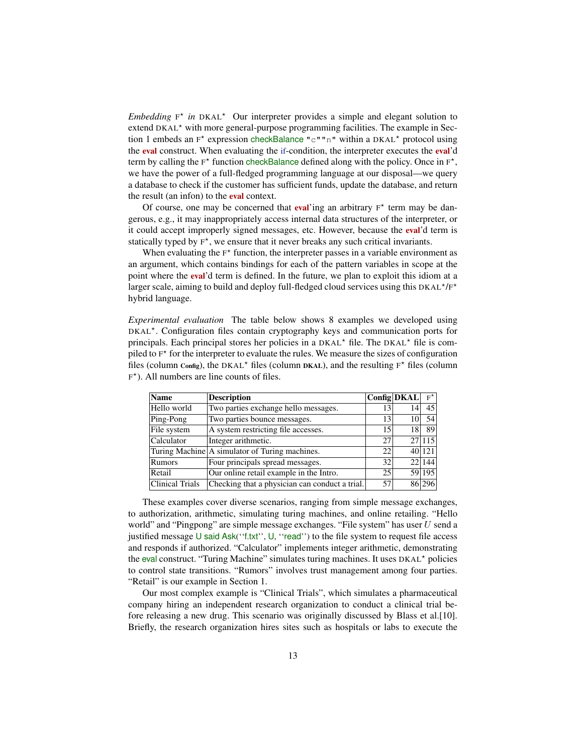*Embedding*  $F^*$  in DKAL<sup>\*</sup> Our interpreter provides a simple and elegant solution to extend DKAL<sup>\*</sup> with more general-purpose programming facilities. The example in Section 1 embeds an F<sup>\*</sup> expression checkBalance "c""n" within a DKAL<sup>\*</sup> protocol using the eval construct. When evaluating the if-condition, the interpreter executes the eval'd term by calling the  $F^*$  function checkBalance defined along with the policy. Once in  $F^*$ , we have the power of a full-fledged programming language at our disposal—we query a database to check if the customer has sufficient funds, update the database, and return the result (an infon) to the eval context.

Of course, one may be concerned that eval'ing an arbitrary  $F^*$  term may be dangerous, e.g., it may inappropriately access internal data structures of the interpreter, or it could accept improperly signed messages, etc. However, because the eval'd term is statically typed by  $F^*$ , we ensure that it never breaks any such critical invariants.

When evaluating the  $F^*$  function, the interpreter passes in a variable environment as an argument, which contains bindings for each of the pattern variables in scope at the point where the eval'd term is defined. In the future, we plan to exploit this idiom at a larger scale, aiming to build and deploy full-fledged cloud services using this  $DKAL^{\star}/F^{\star}$ hybrid language.

*Experimental evaluation* The table below shows 8 examples we developed using DKAL<sup>\*</sup>. Configuration files contain cryptography keys and communication ports for principals. Each principal stores her policies in a  $DKAL^*$  file. The  $DKAL^*$  file is compiled to F<sup>\*</sup> for the interpreter to evaluate the rules. We measure the sizes of configuration files (column Config), the DKAL<sup>\*</sup> files (column DKAL), and the resulting  $F^*$  files (column  $F^*$ ). All numbers are line counts of files.

| <b>Name</b>            | <b>Description</b>                             |    | Config DKAL | $F^{\star}$ |
|------------------------|------------------------------------------------|----|-------------|-------------|
| Hello world            | Two parties exchange hello messages.           | 13 | 14          | 45          |
| Ping-Pong              | Two parties bounce messages.                   | 13 |             | 54          |
| File system            | A system restricting file accesses.            | 15 | 18          | 89          |
| Calculator             | Integer arithmetic.                            | 27 |             | 27 115      |
|                        | Turing Machine A simulator of Turing machines. | 22 |             | 40 121      |
| Rumors                 | Four principals spread messages.               | 32 |             | 22 144      |
| Retail                 | Our online retail example in the Intro.        | 25 |             | 59 195      |
| <b>Clinical Trials</b> | Checking that a physician can conduct a trial. | 57 |             | 86 296      |

These examples cover diverse scenarios, ranging from simple message exchanges, to authorization, arithmetic, simulating turing machines, and online retailing. "Hello world" and "Pingpong" are simple message exchanges. "File system" has user  $U$  send a justified message U said Ask("f.txt", U, "read") to the file system to request file access and responds if authorized. "Calculator" implements integer arithmetic, demonstrating the eval construct. "Turing Machine" simulates turing machines. It uses DKAL\* policies to control state transitions. "Rumors" involves trust management among four parties. "Retail" is our example in Section 1.

Our most complex example is "Clinical Trials", which simulates a pharmaceutical company hiring an independent research organization to conduct a clinical trial before releasing a new drug. This scenario was originally discussed by Blass et al.[10]. Briefly, the research organization hires sites such as hospitals or labs to execute the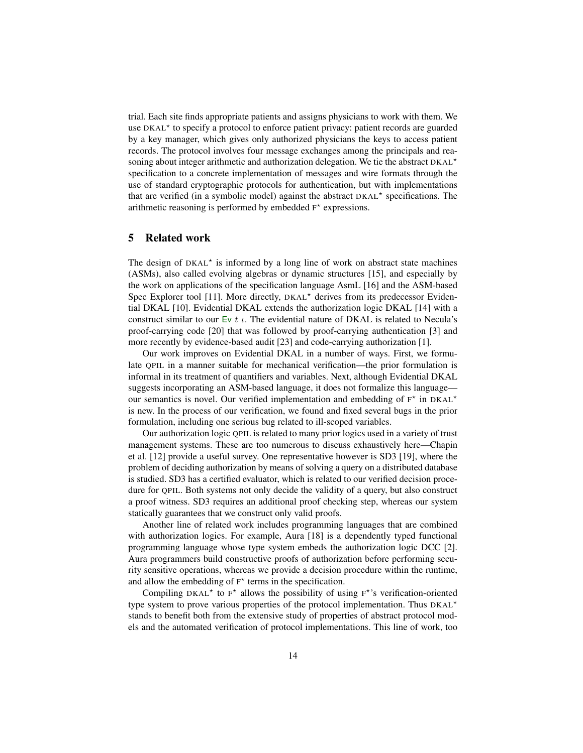trial. Each site finds appropriate patients and assigns physicians to work with them. We use DKAL<sup>\*</sup> to specify a protocol to enforce patient privacy: patient records are guarded by a key manager, which gives only authorized physicians the keys to access patient records. The protocol involves four message exchanges among the principals and reasoning about integer arithmetic and authorization delegation. We tie the abstract DKAL<sup>\*</sup> specification to a concrete implementation of messages and wire formats through the use of standard cryptographic protocols for authentication, but with implementations that are verified (in a symbolic model) against the abstract DKAL<sup>\*</sup> specifications. The arithmetic reasoning is performed by embedded  $F^*$  expressions.

#### 5 Related work

The design of  $DKAL^*$  is informed by a long line of work on abstract state machines (ASMs), also called evolving algebras or dynamic structures [15], and especially by the work on applications of the specification language AsmL [16] and the ASM-based Spec Explorer tool [11]. More directly,  $DKAL^*$  derives from its predecessor Evidential DKAL [10]. Evidential DKAL extends the authorization logic DKAL [14] with a construct similar to our Ev t  $\iota$ . The evidential nature of DKAL is related to Necula's proof-carrying code [20] that was followed by proof-carrying authentication [3] and more recently by evidence-based audit [23] and code-carrying authorization [1].

Our work improves on Evidential DKAL in a number of ways. First, we formulate QPIL in a manner suitable for mechanical verification—the prior formulation is informal in its treatment of quantifiers and variables. Next, although Evidential DKAL suggests incorporating an ASM-based language, it does not formalize this language our semantics is novel. Our verified implementation and embedding of  $F^*$  in DKAL<sup>\*</sup> is new. In the process of our verification, we found and fixed several bugs in the prior formulation, including one serious bug related to ill-scoped variables.

Our authorization logic QPIL is related to many prior logics used in a variety of trust management systems. These are too numerous to discuss exhaustively here—Chapin et al. [12] provide a useful survey. One representative however is SD3 [19], where the problem of deciding authorization by means of solving a query on a distributed database is studied. SD3 has a certified evaluator, which is related to our verified decision procedure for QPIL. Both systems not only decide the validity of a query, but also construct a proof witness. SD3 requires an additional proof checking step, whereas our system statically guarantees that we construct only valid proofs.

Another line of related work includes programming languages that are combined with authorization logics. For example, Aura [18] is a dependently typed functional programming language whose type system embeds the authorization logic DCC [2]. Aura programmers build constructive proofs of authorization before performing security sensitive operations, whereas we provide a decision procedure within the runtime, and allow the embedding of  $F^*$  terms in the specification.

Compiling DKAL<sup>\*</sup> to  $F^*$  allows the possibility of using  $F^*$ 's verification-oriented type system to prove various properties of the protocol implementation. Thus DKAL? stands to benefit both from the extensive study of properties of abstract protocol models and the automated verification of protocol implementations. This line of work, too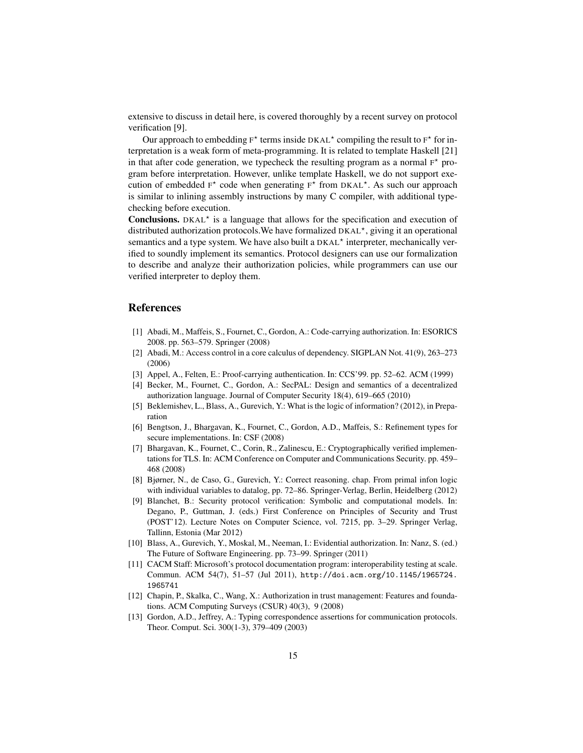extensive to discuss in detail here, is covered thoroughly by a recent survey on protocol verification [9].

Our approach to embedding  $F^*$  terms inside DKAL<sup>\*</sup> compiling the result to  $F^*$  for interpretation is a weak form of meta-programming. It is related to template Haskell [21] in that after code generation, we typecheck the resulting program as a normal  $F^*$  program before interpretation. However, unlike template Haskell, we do not support execution of embedded  $F^*$  code when generating  $F^*$  from DKAL<sup>\*</sup>. As such our approach is similar to inlining assembly instructions by many C compiler, with additional typechecking before execution.

Conclusions. DKAL<sup>\*</sup> is a language that allows for the specification and execution of distributed authorization protocols. We have formalized DKAL<sup>\*</sup>, giving it an operational semantics and a type system. We have also built a DKAL<sup>\*</sup> interpreter, mechanically verified to soundly implement its semantics. Protocol designers can use our formalization to describe and analyze their authorization policies, while programmers can use our verified interpreter to deploy them.

## References

- [1] Abadi, M., Maffeis, S., Fournet, C., Gordon, A.: Code-carrying authorization. In: ESORICS 2008. pp. 563–579. Springer (2008)
- [2] Abadi, M.: Access control in a core calculus of dependency. SIGPLAN Not. 41(9), 263–273 (2006)
- [3] Appel, A., Felten, E.: Proof-carrying authentication. In: CCS'99. pp. 52–62. ACM (1999)
- [4] Becker, M., Fournet, C., Gordon, A.: SecPAL: Design and semantics of a decentralized authorization language. Journal of Computer Security 18(4), 619–665 (2010)
- [5] Beklemishev, L., Blass, A., Gurevich, Y.: What is the logic of information? (2012), in Preparation
- [6] Bengtson, J., Bhargavan, K., Fournet, C., Gordon, A.D., Maffeis, S.: Refinement types for secure implementations. In: CSF (2008)
- [7] Bhargavan, K., Fournet, C., Corin, R., Zalinescu, E.: Cryptographically verified implementations for TLS. In: ACM Conference on Computer and Communications Security. pp. 459– 468 (2008)
- [8] Bjørner, N., de Caso, G., Gurevich, Y.: Correct reasoning. chap. From primal infon logic with individual variables to datalog, pp. 72–86. Springer-Verlag, Berlin, Heidelberg (2012)
- [9] Blanchet, B.: Security protocol verification: Symbolic and computational models. In: Degano, P., Guttman, J. (eds.) First Conference on Principles of Security and Trust (POST'12). Lecture Notes on Computer Science, vol. 7215, pp. 3–29. Springer Verlag, Tallinn, Estonia (Mar 2012)
- [10] Blass, A., Gurevich, Y., Moskal, M., Neeman, I.: Evidential authorization. In: Nanz, S. (ed.) The Future of Software Engineering. pp. 73–99. Springer (2011)
- [11] CACM Staff: Microsoft's protocol documentation program: interoperability testing at scale. Commun. ACM 54(7), 51–57 (Jul 2011), http://doi.acm.org/10.1145/1965724. 1965741
- [12] Chapin, P., Skalka, C., Wang, X.: Authorization in trust management: Features and foundations. ACM Computing Surveys (CSUR) 40(3), 9 (2008)
- [13] Gordon, A.D., Jeffrey, A.: Typing correspondence assertions for communication protocols. Theor. Comput. Sci. 300(1-3), 379–409 (2003)